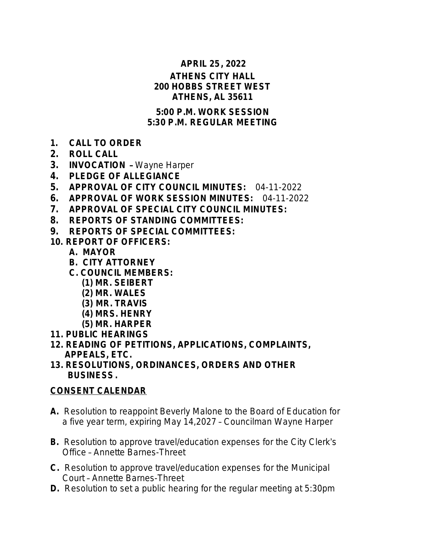#### **APRIL 25, 2022**

#### **ATHENS CITY HALL 200 HOBBS STREET WEST ATHENS, AL 35611**

#### **5:00 P.M. WORK SESSION 5:30 P.M. REGULAR MEETING**

- **1. CALL TO ORDER**
- **2. ROLL CALL**
- **3. INVOCATION**  Wayne Harper
- **4. PLEDGE OF ALLEGIANCE**
- **5. APPROVAL OF CITY COUNCIL MINUTES:** 04-11-2022
- **6. APPROVAL OF WORK SESSION MINUTES:** 04-11-2022
- **7. APPROVAL OF SPECIAL CITY COUNCIL MINUTES:**
- **8. REPORTS OF STANDING COMMITTEES:**
- **9. REPORTS OF SPECIAL COMMITTEES:**
- **10. REPORT OF OFFICERS:**
	- **A. MAYOR**
	- **B. CITY ATTORNEY**
	- **C. COUNCIL MEMBERS:**
		- **(1) MR. SEIBERT**
		- **(2) MR. WALES**
		- **(3) MR. TRAVIS**
		- **(4) MRS. HENRY**
		- **(5) MR. HARPER**
- **11. PUBLIC HEARINGS**
- **12. READING OF PETITIONS, APPLICATIONS, COMPLAINTS, APPEALS, ETC.**
- **13. RESOLUTIONS, ORDINANCES, ORDERS AND OTHER BUSINESS.**

## **CONSENT CALENDAR**

- **A.** Resolution to reappoint Beverly Malone to the Board of Education for a five year term, expiring May 14,2027 – Councilman Wayne Harper
- **B.** Resolution to approve travel/education expenses for the City Clerk's Office – Annette Barnes-Threet
- **C.** Resolution to approve travel/education expenses for the Municipal Court – Annette Barnes-Threet
- **D.** Resolution to set a public hearing for the regular meeting at 5:30pm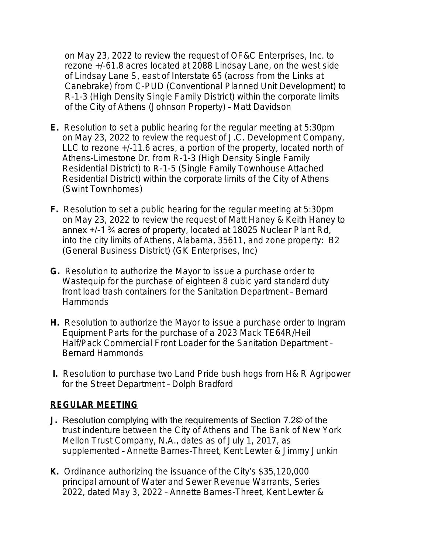on May 23, 2022 to review the request of OF&C Enterprises, Inc. to rezone +/-61.8 acres located at 2088 Lindsay Lane, on the west side of Lindsay Lane S, east of Interstate 65 (across from the Links at Canebrake) from C-PUD (Conventional Planned Unit Development) to R-1-3 (High Density Single Family District) within the corporate limits of the City of Athens (Johnson Property) – Matt Davidson

- **E.** Resolution to set a public hearing for the regular meeting at 5:30pm on May 23, 2022 to review the request of J.C. Development Company, LLC to rezone +/-11.6 acres, a portion of the property, located north of Athens-Limestone Dr. from R-1-3 (High Density Single Family Residential District) to R-1-5 (Single Family Townhouse Attached Residential District) within the corporate limits of the City of Athens (Swint Townhomes)
- **F.** Resolution to set a public hearing for the regular meeting at 5:30pm on May 23, 2022 to review the request of Matt Haney & Keith Haney to annex +/-1 ¾ acres of property, located at 18025 Nuclear Plant Rd, into the city limits of Athens, Alabama, 35611, and zone property: B2 (General Business District) (GK Enterprises, Inc)
- **G.** Resolution to authorize the Mayor to issue a purchase order to Wastequip for the purchase of eighteen 8 cubic yard standard duty front load trash containers for the Sanitation Department – Bernard Hammonds
- **H.** Resolution to authorize the Mayor to issue a purchase order to Ingram Equipment Parts for the purchase of a 2023 Mack TE64R/Heil Half/Pack Commercial Front Loader for the Sanitation Department – Bernard Hammonds
- **I.** Resolution to purchase two Land Pride bush hogs from H& R Agripower for the Street Department – Dolph Bradford

## **REGULAR MEETING**

- **J.** Resolution complying with the requirements of Section 7.2© of the trust indenture between the City of Athens and The Bank of New York Mellon Trust Company, N.A., dates as of July 1, 2017, as supplemented – Annette Barnes-Threet, Kent Lewter & Jimmy Junkin
- **K.** Ordinance authorizing the issuance of the City's \$35,120,000 principal amount of Water and Sewer Revenue Warrants, Series 2022, dated May 3, 2022 – Annette Barnes-Threet, Kent Lewter &